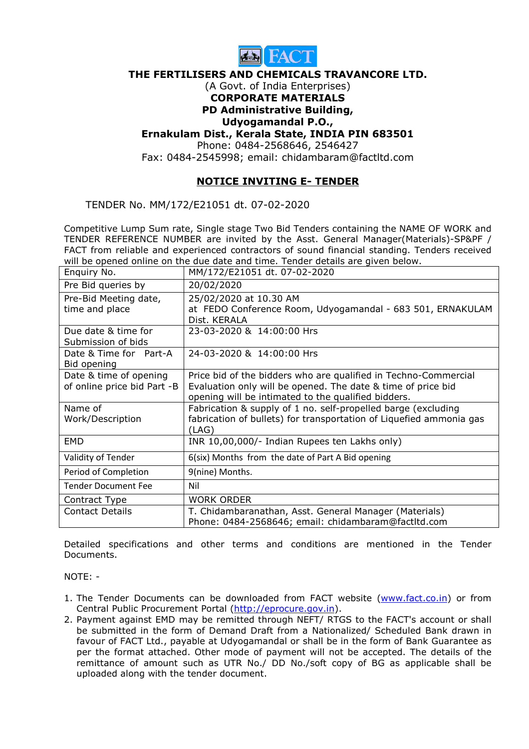

#### **THE FERTILISERS AND CHEMICALS TRAVANCORE LTD.**

### (A Govt. of India Enterprises) **CORPORATE MATERIALS**

### **PD Administrative Building,**

## **Udyogamandal P.O.,**

### **Ernakulam Dist., Kerala State, INDIA PIN 683501**

Phone: 0484-2568646, 2546427

Fax: 0484-2545998; email: chidambaram@factltd.com

# **NOTICE INVITING E- TENDER**

TENDER No. MM/172/E21051 dt. 07-02-2020

Competitive Lump Sum rate, Single stage Two Bid Tenders containing the NAME OF WORK and TENDER REFERENCE NUMBER are invited by the Asst. General Manager(Materials)-SP&PF / FACT from reliable and experienced contractors of sound financial standing. Tenders received will be opened online on the due date and time. Tender details are given below.

| Enquiry No.                                           | MM/172/E21051 dt. 07-02-2020                                                                                                                                                           |
|-------------------------------------------------------|----------------------------------------------------------------------------------------------------------------------------------------------------------------------------------------|
| Pre Bid queries by                                    | 20/02/2020                                                                                                                                                                             |
| Pre-Bid Meeting date,<br>time and place               | 25/02/2020 at 10.30 AM<br>at FEDO Conference Room, Udyogamandal - 683 501, ERNAKULAM<br>Dist. KERALA                                                                                   |
| Due date & time for<br>Submission of bids             | 23-03-2020 & 14:00:00 Hrs                                                                                                                                                              |
| Date & Time for Part-A<br>Bid opening                 | 24-03-2020 & 14:00:00 Hrs                                                                                                                                                              |
| Date & time of opening<br>of online price bid Part -B | Price bid of the bidders who are qualified in Techno-Commercial<br>Evaluation only will be opened. The date & time of price bid<br>opening will be intimated to the qualified bidders. |
| Name of<br>Work/Description                           | Fabrication & supply of 1 no. self-propelled barge (excluding<br>fabrication of bullets) for transportation of Liquefied ammonia gas<br>(LAG)                                          |
| <b>EMD</b>                                            | INR 10,00,000/- Indian Rupees ten Lakhs only)                                                                                                                                          |
| Validity of Tender                                    | 6(six) Months from the date of Part A Bid opening                                                                                                                                      |
| Period of Completion                                  | 9(nine) Months.                                                                                                                                                                        |
| <b>Tender Document Fee</b>                            | Nil                                                                                                                                                                                    |
| Contract Type                                         | <b>WORK ORDER</b>                                                                                                                                                                      |
| <b>Contact Details</b>                                | T. Chidambaranathan, Asst. General Manager (Materials)<br>Phone: 0484-2568646; email: chidambaram@factltd.com                                                                          |

Detailed specifications and other terms and conditions are mentioned in the Tender Documents.

NOTE: -

- 1. The Tender Documents can be downloaded from FACT website (www.fact.co.in) or from Central Public Procurement Portal (http://eprocure.gov.in).
- 2. Payment against EMD may be remitted through NEFT/ RTGS to the FACT's account or shall be submitted in the form of Demand Draft from a Nationalized/ Scheduled Bank drawn in favour of FACT Ltd., payable at Udyogamandal or shall be in the form of Bank Guarantee as per the format attached. Other mode of payment will not be accepted. The details of the remittance of amount such as UTR No./ DD No./soft copy of BG as applicable shall be uploaded along with the tender document.